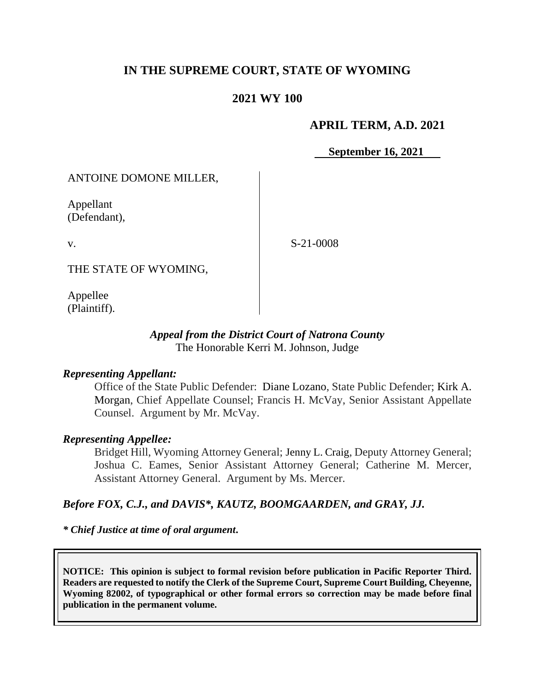# **IN THE SUPREME COURT, STATE OF WYOMING**

## **2021 WY 100**

#### **APRIL TERM, A.D. 2021**

**September 16, 2021**

ANTOINE DOMONE MILLER,

Appellant (Defendant),

v.

S-21-0008

THE STATE OF WYOMING,

Appellee (Plaintiff).

#### *Appeal from the District Court of Natrona County* The Honorable Kerri M. Johnson, Judge

#### *Representing Appellant:*

Office of the State Public Defender: Diane Lozano, State Public Defender; [Kirk A.](https://1.next.westlaw.com/Link/Document/FullText?findType=h&pubNum=176284&cite=0342481001&originatingDoc=I9a7cf9d0af6911ea9e229b5f182c9c44&refType=RQ&originationContext=document&transitionType=DocumentItem&contextData=(sc.UserEnteredCitation)&analyticGuid=I9a7cf9d0af6911ea9e229b5f182c9c44)  [Morgan,](https://1.next.westlaw.com/Link/Document/FullText?findType=h&pubNum=176284&cite=0342481001&originatingDoc=I9a7cf9d0af6911ea9e229b5f182c9c44&refType=RQ&originationContext=document&transitionType=DocumentItem&contextData=(sc.UserEnteredCitation)&analyticGuid=I9a7cf9d0af6911ea9e229b5f182c9c44) Chief Appellate Counsel; Francis H. McVay, Senior Assistant Appellate Counsel. Argument by Mr. McVay.

## *Representing Appellee:*

Bridget Hill, Wyoming Attorney General; Jenny L. Craig, Deputy Attorney General; Joshua C. Eames, Senior Assistant Attorney General; Catherine M. Mercer, Assistant Attorney General. Argument by Ms. Mercer.

#### *Before FOX, C.J., and DAVIS\*, KAUTZ, BOOMGAARDEN, and GRAY, JJ.*

*\* Chief Justice at time of oral argument***.**

**NOTICE: This opinion is subject to formal revision before publication in Pacific Reporter Third. Readers are requested to notify the Clerk of the Supreme Court, Supreme Court Building, Cheyenne, Wyoming 82002, of typographical or other formal errors so correction may be made before final publication in the permanent volume.**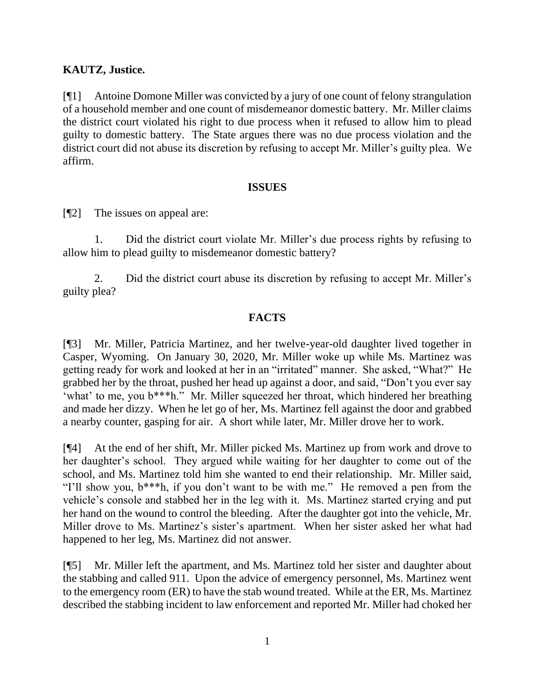## **KAUTZ, Justice.**

[¶1] Antoine Domone Miller was convicted by a jury of one count of felony strangulation of a household member and one count of misdemeanor domestic battery. Mr. Miller claims the district court violated his right to due process when it refused to allow him to plead guilty to domestic battery. The State argues there was no due process violation and the district court did not abuse its discretion by refusing to accept Mr. Miller's guilty plea. We affirm.

#### **ISSUES**

[¶2] The issues on appeal are:

1. Did the district court violate Mr. Miller's due process rights by refusing to allow him to plead guilty to misdemeanor domestic battery?

2. Did the district court abuse its discretion by refusing to accept Mr. Miller's guilty plea?

## **FACTS**

[¶3] Mr. Miller, Patricia Martinez, and her twelve-year-old daughter lived together in Casper, Wyoming. On January 30, 2020, Mr. Miller woke up while Ms. Martinez was getting ready for work and looked at her in an "irritated" manner. She asked, "What?" He grabbed her by the throat, pushed her head up against a door, and said, "Don't you ever say 'what' to me, you b\*\*\*h." Mr. Miller squeezed her throat, which hindered her breathing and made her dizzy. When he let go of her, Ms. Martinez fell against the door and grabbed a nearby counter, gasping for air. A short while later, Mr. Miller drove her to work.

[¶4] At the end of her shift, Mr. Miller picked Ms. Martinez up from work and drove to her daughter's school. They argued while waiting for her daughter to come out of the school, and Ms. Martinez told him she wanted to end their relationship. Mr. Miller said, "I'll show you, b\*\*\*h, if you don't want to be with me." He removed a pen from the vehicle's console and stabbed her in the leg with it. Ms. Martinez started crying and put her hand on the wound to control the bleeding. After the daughter got into the vehicle, Mr. Miller drove to Ms. Martinez's sister's apartment. When her sister asked her what had happened to her leg, Ms. Martinez did not answer.

[¶5] Mr. Miller left the apartment, and Ms. Martinez told her sister and daughter about the stabbing and called 911. Upon the advice of emergency personnel, Ms. Martinez went to the emergency room (ER) to have the stab wound treated. While at the ER, Ms. Martinez described the stabbing incident to law enforcement and reported Mr. Miller had choked her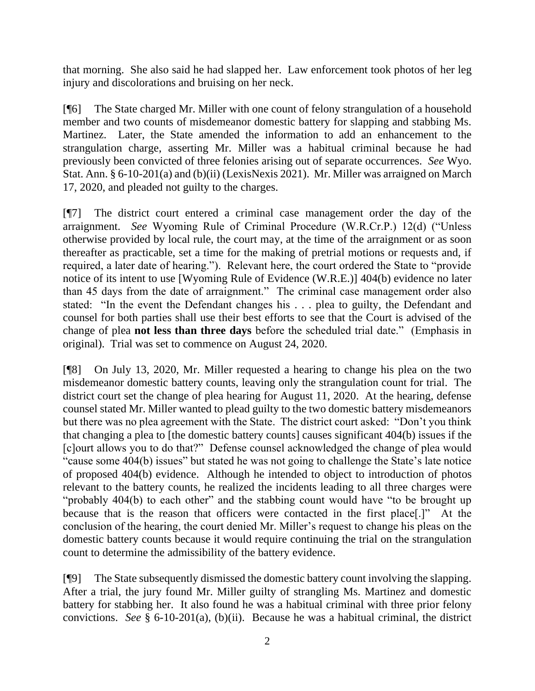that morning. She also said he had slapped her. Law enforcement took photos of her leg injury and discolorations and bruising on her neck.

[¶6] The State charged Mr. Miller with one count of felony strangulation of a household member and two counts of misdemeanor domestic battery for slapping and stabbing Ms. Martinez. Later, the State amended the information to add an enhancement to the strangulation charge, asserting Mr. Miller was a habitual criminal because he had previously been convicted of three felonies arising out of separate occurrences. *See* Wyo. Stat. Ann. § 6-10-201(a) and (b)(ii) (LexisNexis 2021). Mr. Miller was arraigned on March 17, 2020, and pleaded not guilty to the charges.

[¶7] The district court entered a criminal case management order the day of the arraignment. *See* Wyoming Rule of Criminal Procedure (W.R.Cr.P.) 12(d) ("Unless otherwise provided by local rule, the court may, at the time of the arraignment or as soon thereafter as practicable, set a time for the making of pretrial motions or requests and, if required, a later date of hearing."). Relevant here, the court ordered the State to "provide notice of its intent to use [Wyoming Rule of Evidence (W.R.E.)] 404(b) evidence no later than 45 days from the date of arraignment." The criminal case management order also stated: "In the event the Defendant changes his . . . plea to guilty, the Defendant and counsel for both parties shall use their best efforts to see that the Court is advised of the change of plea **not less than three days** before the scheduled trial date." (Emphasis in original). Trial was set to commence on August 24, 2020.

[¶8] On July 13, 2020, Mr. Miller requested a hearing to change his plea on the two misdemeanor domestic battery counts, leaving only the strangulation count for trial. The district court set the change of plea hearing for August 11, 2020. At the hearing, defense counsel stated Mr. Miller wanted to plead guilty to the two domestic battery misdemeanors but there was no plea agreement with the State. The district court asked: "Don't you think that changing a plea to [the domestic battery counts] causes significant 404(b) issues if the [c]ourt allows you to do that?" Defense counsel acknowledged the change of plea would "cause some 404(b) issues" but stated he was not going to challenge the State's late notice of proposed 404(b) evidence. Although he intended to object to introduction of photos relevant to the battery counts, he realized the incidents leading to all three charges were "probably 404(b) to each other" and the stabbing count would have "to be brought up because that is the reason that officers were contacted in the first place[.]" At the conclusion of the hearing, the court denied Mr. Miller's request to change his pleas on the domestic battery counts because it would require continuing the trial on the strangulation count to determine the admissibility of the battery evidence.

[¶9] The State subsequently dismissed the domestic battery count involving the slapping. After a trial, the jury found Mr. Miller guilty of strangling Ms. Martinez and domestic battery for stabbing her. It also found he was a habitual criminal with three prior felony convictions. *See* § 6-10-201(a), (b)(ii). Because he was a habitual criminal, the district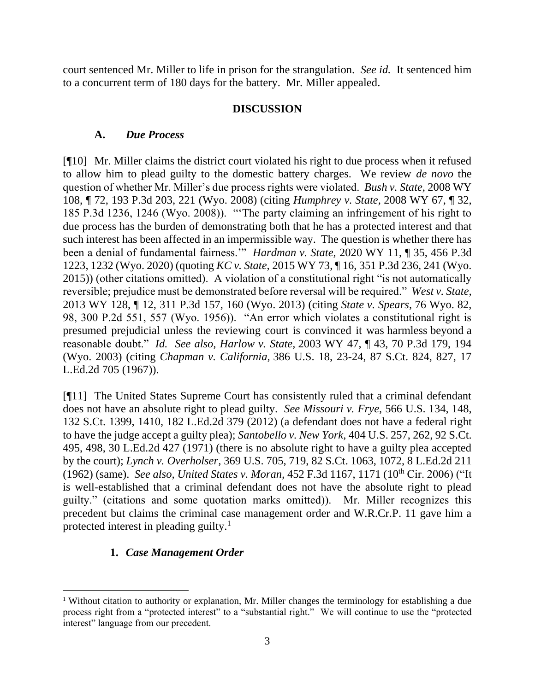court sentenced Mr. Miller to life in prison for the strangulation. *See id.* It sentenced him to a concurrent term of 180 days for the battery. Mr. Miller appealed.

### **DISCUSSION**

### **A.** *Due Process*

[¶10] Mr. Miller claims the district court violated his right to due process when it refused to allow him to plead guilty to the domestic battery charges. We review *de novo* the question of whether Mr. Miller's due process rights were violated. *Bush v. State,* 2008 WY 108, ¶ 72, 193 P.3d 203, 221 (Wyo. 2008) (citing *Humphrey v. State,* 2008 WY 67, ¶ 32, 185 P.3d 1236, 1246 (Wyo. 2008)). "'The party claiming an infringement of his right to due process has the burden of demonstrating both that he has a protected interest and that such interest has been affected in an impermissible way. The question is whether there has been a denial of fundamental fairness.'" *Hardman v. State,* 2020 WY 11, ¶ 35, 456 P.3d 1223, 1232 (Wyo. 2020) (quoting *KC v. State*, 2015 WY 73, ¶ 16, 351 P.3d 236, 241 (Wyo. 2015)) (other citations omitted). A violation of a constitutional right "is not automatically reversible; prejudice must be demonstrated before reversal will be required." *West v. State,*  2013 WY 128, ¶ 12, 311 P.3d 157, 160 (Wyo. 2013) (citing *State v. Spears,* 76 Wyo. 82, 98, 300 P.2d 551, 557 (Wyo. 1956)). "An error which violates a constitutional right is presumed prejudicial unless the reviewing court is convinced it was harmless beyond a reasonable doubt." *Id. See also, Harlow v. State,* 2003 WY 47, ¶ 43, 70 P.3d 179, 194 (Wyo. 2003) (citing *Chapman v. California,* 386 U.S. 18, 23-24, 87 S.Ct. 824, 827, 17 L.Ed.2d 705 (1967)).

[¶11] The United States Supreme Court has consistently ruled that a criminal defendant does not have an absolute right to plead guilty. *See Missouri v. Frye,* 566 U.S. 134, 148, 132 S.Ct. 1399, 1410, 182 L.Ed.2d 379 (2012) (a defendant does not have a federal right to have the judge accept a guilty plea); *Santobello v. New York,* 404 U.S. 257, 262, 92 S.Ct. 495, 498, 30 L.Ed.2d 427 (1971) (there is no absolute right to have a guilty plea accepted by the court); *Lynch v. Overholser,* 369 U.S. 705, 719, 82 S.Ct. 1063, 1072, 8 L.Ed.2d 211 (1962) (same). *See also, United States v. Moran,* 452 F.3d 1167, 1171 (10th Cir. 2006) ("It is well-established that a criminal defendant does not have the absolute right to plead guilty." (citations and some quotation marks omitted)). Mr. Miller recognizes this precedent but claims the criminal case management order and W.R.Cr.P. 11 gave him a protected interest in pleading guilty.<sup>1</sup>

## **1.** *Case Management Order*

<sup>&</sup>lt;sup>1</sup> Without citation to authority or explanation, Mr. Miller changes the terminology for establishing a due process right from a "protected interest" to a "substantial right." We will continue to use the "protected interest" language from our precedent.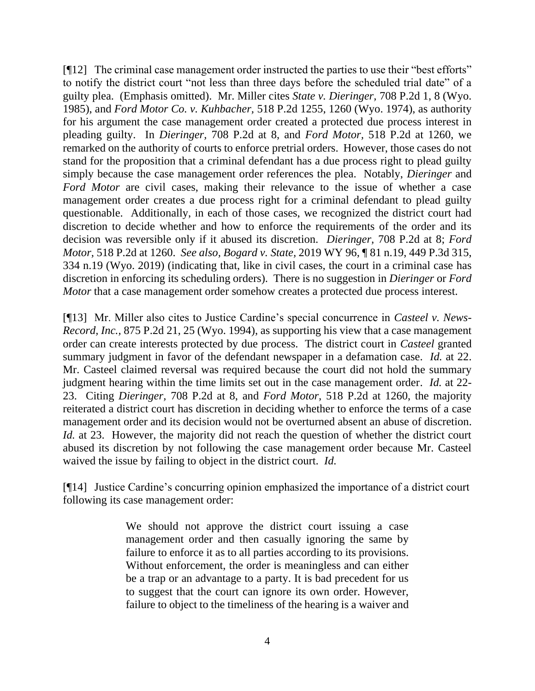[¶12] The criminal case management order instructed the parties to use their "best efforts" to notify the district court "not less than three days before the scheduled trial date" of a guilty plea. (Emphasis omitted). Mr. Miller cites *State v. Dieringer,* 708 P.2d 1, 8 (Wyo. 1985), and *Ford Motor Co. v. Kuhbacher,* 518 P.2d 1255, 1260 (Wyo. 1974), as authority for his argument the case management order created a protected due process interest in pleading guilty. In *Dieringer,* 708 P.2d at 8, and *Ford Motor,* 518 P.2d at 1260, we remarked on the authority of courts to enforce pretrial orders. However, those cases do not stand for the proposition that a criminal defendant has a due process right to plead guilty simply because the case management order references the plea. Notably, *Dieringer* and *Ford Motor* are civil cases, making their relevance to the issue of whether a case management order creates a due process right for a criminal defendant to plead guilty questionable. Additionally, in each of those cases, we recognized the district court had discretion to decide whether and how to enforce the requirements of the order and its decision was reversible only if it abused its discretion. *Dieringer,* 708 P.2d at 8; *Ford Motor,* 518 P.2d at 1260. *See also, Bogard v. State,* 2019 WY 96, ¶ 81 n.19, 449 P.3d 315, 334 n.19 (Wyo. 2019) (indicating that, like in civil cases, the court in a criminal case has discretion in enforcing its scheduling orders). There is no suggestion in *Dieringer* or *Ford Motor* that a case management order somehow creates a protected due process interest.

[¶13] Mr. Miller also cites to Justice Cardine's special concurrence in *Casteel v. News-Record, Inc.,* 875 P.2d 21, 25 (Wyo. 1994), as supporting his view that a case management order can create interests protected by due process. The district court in *Casteel* granted summary judgment in favor of the defendant newspaper in a defamation case. *Id.* at 22. Mr. Casteel claimed reversal was required because the court did not hold the summary judgment hearing within the time limits set out in the case management order. *Id.* at 22- 23. Citing *Dieringer,* 708 P.2d at 8, and *Ford Motor,* 518 P.2d at 1260, the majority reiterated a district court has discretion in deciding whether to enforce the terms of a case management order and its decision would not be overturned absent an abuse of discretion. *Id.* at 23. However, the majority did not reach the question of whether the district court abused its discretion by not following the case management order because Mr. Casteel waived the issue by failing to object in the district court. *Id.*

[¶14] Justice Cardine's concurring opinion emphasized the importance of a district court following its case management order:

> We should not approve the district court issuing a case management order and then casually ignoring the same by failure to enforce it as to all parties according to its provisions. Without enforcement, the order is meaningless and can either be a trap or an advantage to a party. It is bad precedent for us to suggest that the court can ignore its own order. However, failure to object to the timeliness of the hearing is a waiver and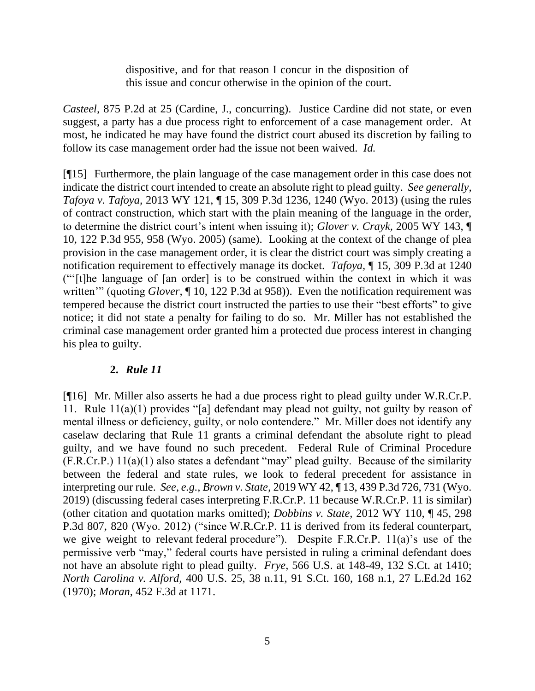dispositive, and for that reason I concur in the disposition of this issue and concur otherwise in the opinion of the court.

*Casteel,* 875 P.2d at 25 (Cardine, J., concurring). Justice Cardine did not state, or even suggest, a party has a due process right to enforcement of a case management order. At most, he indicated he may have found the district court abused its discretion by failing to follow its case management order had the issue not been waived. *Id.*

[¶15] Furthermore, the plain language of the case management order in this case does not indicate the district court intended to create an absolute right to plead guilty. *See generally, Tafoya v. Tafoya,* 2013 WY 121, ¶ 15, 309 P.3d 1236, 1240 (Wyo. 2013) (using the rules of contract construction, which start with the plain meaning of the language in the order, to determine the district court's intent when issuing it); *Glover v. Crayk,* 2005 WY 143, ¶ 10, 122 P.3d 955, 958 (Wyo. 2005) (same). Looking at the context of the change of plea provision in the case management order, it is clear the district court was simply creating a notification requirement to effectively manage its docket. *Tafoya,* ¶ 15, 309 P.3d at 1240 ("'[t]he language of [an order] is to be construed within the context in which it was written'" (quoting *Glover*, ¶ 10, 122 P.3d at 958)). Even the notification requirement was tempered because the district court instructed the parties to use their "best efforts" to give notice; it did not state a penalty for failing to do so. Mr. Miller has not established the criminal case management order granted him a protected due process interest in changing his plea to guilty.

## **2.** *Rule 11*

[¶16] Mr. Miller also asserts he had a due process right to plead guilty under W.R.Cr.P. 11. Rule 11(a)(1) provides "[a] defendant may plead not guilty, not guilty by reason of mental illness or deficiency, guilty, or nolo contendere." Mr. Miller does not identify any caselaw declaring that Rule 11 grants a criminal defendant the absolute right to plead guilty, and we have found no such precedent. Federal Rule of Criminal Procedure (F.R.Cr.P.) 11(a)(1) also states a defendant "may" plead guilty. Because of the similarity between the federal and state rules, we look to federal precedent for assistance in interpreting our rule. *See, e.g., Brown v. State,* 2019 WY 42, ¶ 13, 439 P.3d 726, 731 (Wyo. 2019) (discussing federal cases interpreting F.R.Cr.P. 11 because W.R.Cr.P. 11 is similar) (other citation and quotation marks omitted); *Dobbins v. State,* 2012 WY 110, ¶ 45, 298 P.3d 807, 820 (Wyo. 2012) ("since W.R.Cr.P. 11 is derived from its federal counterpart, we give weight to relevant federal procedure"). Despite F.R.Cr.P. 11(a)'s use of the permissive verb "may," federal courts have persisted in ruling a criminal defendant does not have an absolute right to plead guilty. *Frye,* 566 U.S. at 148-49, 132 S.Ct. at 1410; *North Carolina v. Alford,* 400 U.S. 25, 38 n.11, 91 S.Ct. 160, 168 n.1, 27 L.Ed.2d 162 (1970); *Moran,* 452 F.3d at 1171.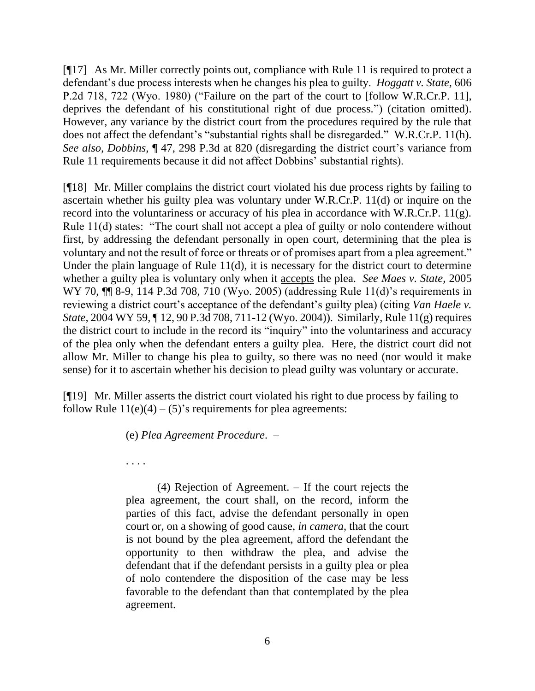[¶17] As Mr. Miller correctly points out, compliance with Rule 11 is required to protect a defendant's due process interests when he changes his plea to guilty. *Hoggatt v. State,* 606 P.2d 718, 722 (Wyo. 1980) ("Failure on the part of the court to [follow W.R.Cr.P. 11], deprives the defendant of his constitutional right of due process.") (citation omitted). However, any variance by the district court from the procedures required by the rule that does not affect the defendant's "substantial rights shall be disregarded." W.R.Cr.P. 11(h). *See also, Dobbins,* ¶ 47, 298 P.3d at 820 (disregarding the district court's variance from Rule 11 requirements because it did not affect Dobbins' substantial rights).

[¶18] Mr. Miller complains the district court violated his due process rights by failing to ascertain whether his guilty plea was voluntary under W.R.Cr.P. 11(d) or inquire on the record into the voluntariness or accuracy of his plea in accordance with W.R.Cr.P. 11(g). Rule 11(d) states: "The court shall not accept a plea of guilty or nolo contendere without first, by addressing the defendant personally in open court, determining that the plea is voluntary and not the result of force or threats or of promises apart from a plea agreement." Under the plain language of Rule 11(d), it is necessary for the district court to determine whether a guilty plea is voluntary only when it accepts the plea. *See Maes v. State,* 2005 WY 70,  $\P$  8-9, 114 P.3d 708, 710 (Wyo. 2005) (addressing Rule 11(d)'s requirements in reviewing a district court's acceptance of the defendant's guilty plea) (citing *Van Haele v. State,* 2004 WY 59, ¶ 12, 90 P.3d 708, 711-12 (Wyo. 2004)). Similarly, Rule 11(g) requires the district court to include in the record its "inquiry" into the voluntariness and accuracy of the plea only when the defendant enters a guilty plea. Here, the district court did not allow Mr. Miller to change his plea to guilty, so there was no need (nor would it make sense) for it to ascertain whether his decision to plead guilty was voluntary or accurate.

[¶19] Mr. Miller asserts the district court violated his right to due process by failing to follow Rule  $11(e)(4) - (5)$ 's requirements for plea agreements:

(e) *Plea Agreement Procedure*. –

. . . .

(4) Rejection of Agreement. – If the court rejects the plea agreement, the court shall, on the record, inform the parties of this fact, advise the defendant personally in open court or, on a showing of good cause, *in camera*, that the court is not bound by the plea agreement, afford the defendant the opportunity to then withdraw the plea, and advise the defendant that if the defendant persists in a guilty plea or plea of nolo contendere the disposition of the case may be less favorable to the defendant than that contemplated by the plea agreement.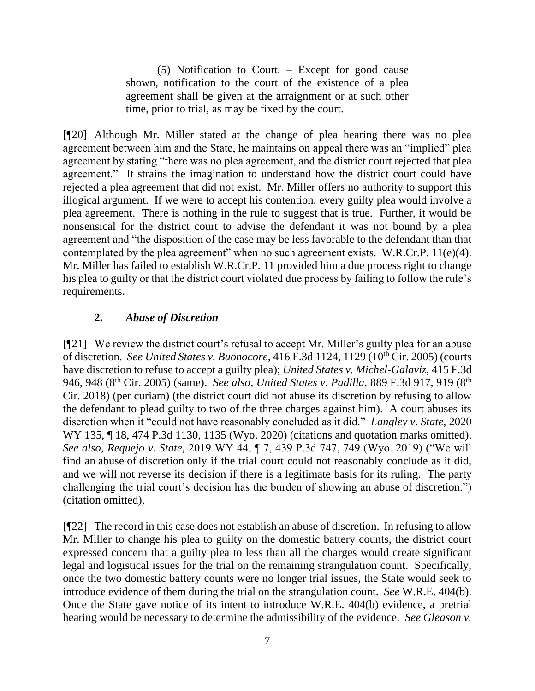(5) Notification to Court*.* – Except for good cause shown, notification to the court of the existence of a plea agreement shall be given at the arraignment or at such other time, prior to trial, as may be fixed by the court.

[¶20] Although Mr. Miller stated at the change of plea hearing there was no plea agreement between him and the State, he maintains on appeal there was an "implied" plea agreement by stating "there was no plea agreement, and the district court rejected that plea agreement." It strains the imagination to understand how the district court could have rejected a plea agreement that did not exist. Mr. Miller offers no authority to support this illogical argument. If we were to accept his contention, every guilty plea would involve a plea agreement. There is nothing in the rule to suggest that is true. Further, it would be nonsensical for the district court to advise the defendant it was not bound by a plea agreement and "the disposition of the case may be less favorable to the defendant than that contemplated by the plea agreement" when no such agreement exists. W.R.Cr.P. 11(e)(4). Mr. Miller has failed to establish W.R.Cr.P. 11 provided him a due process right to change his plea to guilty or that the district court violated due process by failing to follow the rule's requirements.

# **2.** *Abuse of Discretion*

[¶21] We review the district court's refusal to accept Mr. Miller's guilty plea for an abuse of discretion. *See United States v. Buonocore,* 416 F.3d 1124, 1129 (10th Cir. 2005) (courts have discretion to refuse to accept a guilty plea); *United States v. Michel-Galaviz,* 415 F.3d 946, 948 (8<sup>th</sup> Cir. 2005) (same). *See also, United States v. Padilla*, 889 F.3d 917, 919 (8<sup>th</sup> Cir. 2018) (per curiam) (the district court did not abuse its discretion by refusing to allow the defendant to plead guilty to two of the three charges against him). A court abuses its discretion when it "could not have reasonably concluded as it did." *Langley v. State,* 2020 WY 135, ¶ 18, 474 P.3d 1130, 1135 (Wyo. 2020) (citations and quotation marks omitted). *See also, Requejo v. State,* 2019 WY 44, ¶ 7, 439 P.3d 747, 749 (Wyo. 2019) ("We will find an abuse of discretion only if the trial court could not reasonably conclude as it did, and we will not reverse its decision if there is a legitimate basis for its ruling. The party challenging the trial court's decision has the burden of showing an abuse of discretion.") (citation omitted).

[¶22] The record in this case does not establish an abuse of discretion. In refusing to allow Mr. Miller to change his plea to guilty on the domestic battery counts, the district court expressed concern that a guilty plea to less than all the charges would create significant legal and logistical issues for the trial on the remaining strangulation count. Specifically, once the two domestic battery counts were no longer trial issues, the State would seek to introduce evidence of them during the trial on the strangulation count. *See* W.R.E. 404(b). Once the State gave notice of its intent to introduce W.R.E. 404(b) evidence, a pretrial hearing would be necessary to determine the admissibility of the evidence. *See Gleason v.*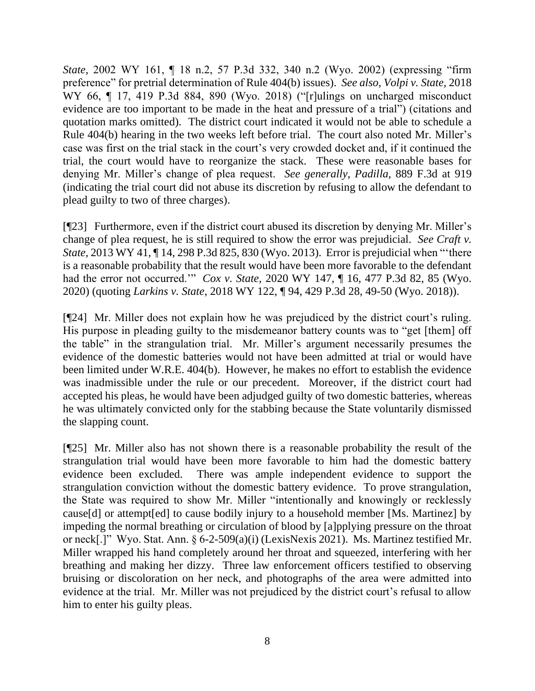*State,* 2002 WY 161, ¶ 18 n.2, 57 P.3d 332, 340 n.2 (Wyo. 2002) (expressing "firm preference" for pretrial determination of Rule 404(b) issues). *See also, Volpi v. State,* 2018 WY 66, ¶ 17, 419 P.3d 884, 890 (Wyo. 2018) ("[r]ulings on uncharged misconduct evidence are too important to be made in the heat and pressure of a trial") (citations and quotation marks omitted).The district court indicated it would not be able to schedule a Rule 404(b) hearing in the two weeks left before trial. The court also noted Mr. Miller's case was first on the trial stack in the court's very crowded docket and, if it continued the trial, the court would have to reorganize the stack. These were reasonable bases for denying Mr. Miller's change of plea request. *See generally, Padilla,* 889 F.3d at 919 (indicating the trial court did not abuse its discretion by refusing to allow the defendant to plead guilty to two of three charges).

[¶23] Furthermore, even if the district court abused its discretion by denying Mr. Miller's change of plea request, he is still required to show the error was prejudicial. *See Craft v. State,* 2013 WY 41, ¶ 14, 298 P.3d 825, 830 (Wyo. 2013). Error is prejudicial when "'there is a reasonable probability that the result would have been more favorable to the defendant had the error not occurred.'" *Cox v. State,* 2020 WY 147, ¶ 16, 477 P.3d 82, 85 (Wyo. 2020) (quoting *Larkins v. State*, 2018 WY 122, ¶ 94, 429 P.3d 28, 49-50 (Wyo. 2018)).

[¶24] Mr. Miller does not explain how he was prejudiced by the district court's ruling. His purpose in pleading guilty to the misdemeanor battery counts was to "get [them] off the table" in the strangulation trial. Mr. Miller's argument necessarily presumes the evidence of the domestic batteries would not have been admitted at trial or would have been limited under W.R.E. 404(b). However, he makes no effort to establish the evidence was inadmissible under the rule or our precedent. Moreover, if the district court had accepted his pleas, he would have been adjudged guilty of two domestic batteries, whereas he was ultimately convicted only for the stabbing because the State voluntarily dismissed the slapping count.

[¶25] Mr. Miller also has not shown there is a reasonable probability the result of the strangulation trial would have been more favorable to him had the domestic battery evidence been excluded. There was ample independent evidence to support the strangulation conviction without the domestic battery evidence. To prove strangulation, the State was required to show Mr. Miller "intentionally and knowingly or recklessly cause[d] or attempt[ed] to cause bodily injury to a household member [Ms. Martinez] by impeding the normal breathing or circulation of blood by [a]pplying pressure on the throat or neck[.]" Wyo. Stat. Ann. § 6-2-509(a)(i) (LexisNexis 2021). Ms. Martinez testified Mr. Miller wrapped his hand completely around her throat and squeezed, interfering with her breathing and making her dizzy. Three law enforcement officers testified to observing bruising or discoloration on her neck, and photographs of the area were admitted into evidence at the trial. Mr. Miller was not prejudiced by the district court's refusal to allow him to enter his guilty pleas.